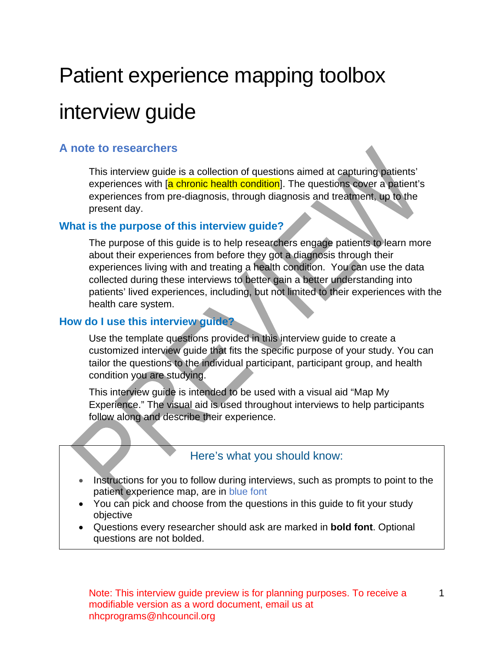# Patient experience mapping toolbox

# interview guide

### <span id="page-0-0"></span>**A note to researchers**

This interview guide is a collection of questions aimed at capturing patients' experiences with [a chronic health condition]. The questions cover a patient's experiences from pre-diagnosis, through diagnosis and treatment, up to the present day.

### **What is the purpose of this interview guide?**

The purpose of this guide is to help researchers engage patients to learn more about their experiences from before they got a diagnosis through their experiences living with and treating a health condition. You can use the data collected during these interviews to better gain a better understanding into patients' lived experiences, including, but not limited to their experiences with the health care system.

### **How do I use this interview guide?**

Use the template questions provided in this interview guide to create a customized interview guide that fits the specific purpose of your study. You can tailor the questions to the individual participant, participant group, and health condition you are studying.

This interview guide is intended to be used with a visual aid "Map My Experience." The visual aid is used throughout interviews to help participants follow along and describe their experience.

### Here's what you should know:

- Instructions for you to follow during interviews, such as prompts to point to the patient experience map, are in blue font
- You can pick and choose from the questions in this guide to fit your study objective
- Questions every researcher should ask are marked in **bold font**. Optional questions are not bolded.

1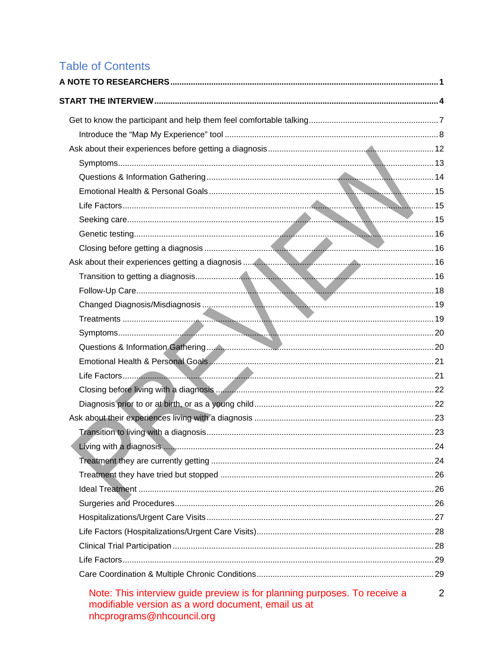# **Table of Contents**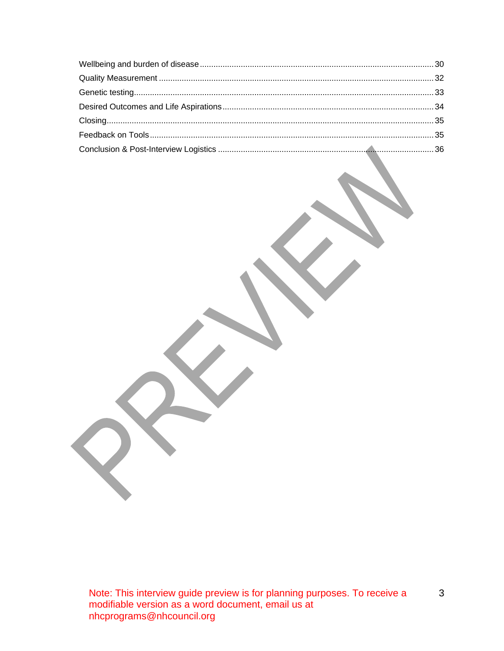$\mathfrak{S}$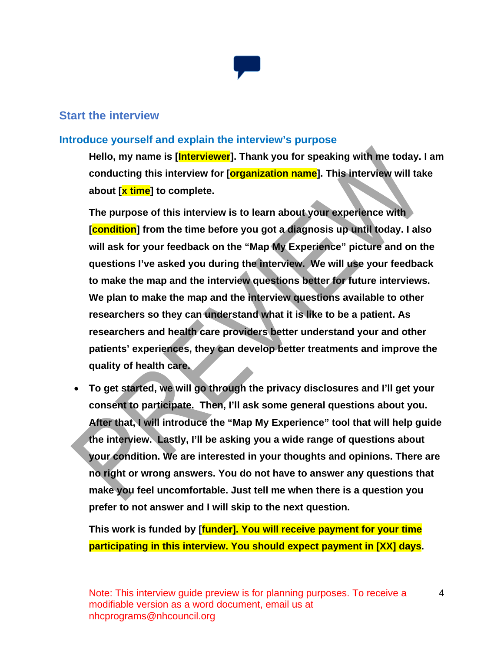

### <span id="page-3-0"></span>**Start the interview**

### **Introduce yourself and explain the interview's purpose**

**Hello, my name is [Interviewer]. Thank you for speaking with me today. I am conducting this interview for [organization name]. This interview will take about [x time] to complete.**

**The purpose of this interview is to learn about your experience with [condition] from the time before you got a diagnosis up until today. I also will ask for your feedback on the "Map My Experience" picture and on the questions I've asked you during the interview. We will use your feedback to make the map and the interview questions better for future interviews. We plan to make the map and the interview questions available to other researchers so they can understand what it is like to be a patient. As researchers and health care providers better understand your and other patients' experiences, they can develop better treatments and improve the quality of health care.** 

• **To get started, we will go through the privacy disclosures and I'll get your consent to participate. Then, I'll ask some general questions about you. After that, I will introduce the "Map My Experience" tool that will help guide the interview. Lastly, I'll be asking you a wide range of questions about your condition. We are interested in your thoughts and opinions. There are no right or wrong answers. You do not have to answer any questions that make you feel uncomfortable. Just tell me when there is a question you prefer to not answer and I will skip to the next question.**

**This work is funded by [funder]. You will receive payment for your time participating in this interview. You should expect payment in [XX] days.**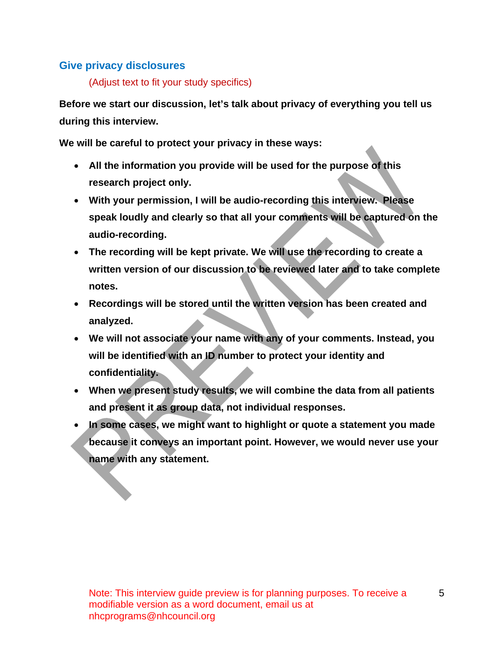### **Give privacy disclosures**

(Adjust text to fit your study specifics)

**Before we start our discussion, let's talk about privacy of everything you tell us during this interview.** 

**We will be careful to protect your privacy in these ways:**

- **All the information you provide will be used for the purpose of this research project only.**
- **With your permission, I will be audio-recording this interview. Please speak loudly and clearly so that all your comments will be captured on the audio-recording.**
- **The recording will be kept private. We will use the recording to create a written version of our discussion to be reviewed later and to take complete notes.**
- **Recordings will be stored until the written version has been created and analyzed.**
- **We will not associate your name with any of your comments. Instead, you will be identified with an ID number to protect your identity and confidentiality.**
- **When we present study results, we will combine the data from all patients and present it as group data, not individual responses.**
- **In some cases, we might want to highlight or quote a statement you made because it conveys an important point. However, we would never use your name with any statement.**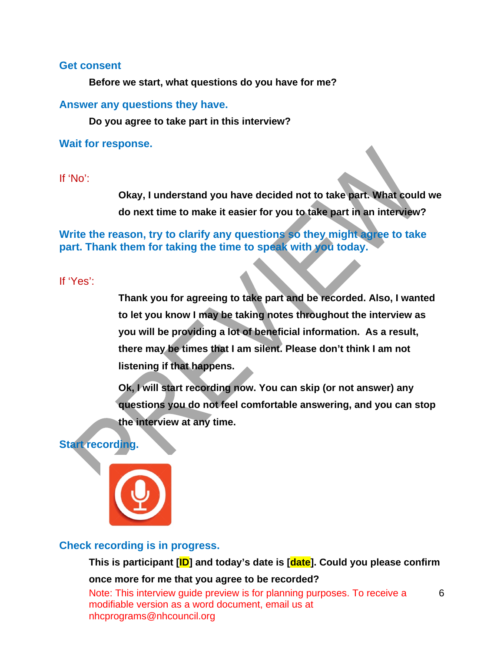#### **Get consent**

**Before we start, what questions do you have for me?** 

### **Answer any questions they have.**

**Do you agree to take part in this interview?** 

**Wait for response.**

If 'No':

**Okay, I understand you have decided not to take part. What could we do next time to make it easier for you to take part in an interview?** 

**Write the reason, try to clarify any questions so they might agree to take part. Thank them for taking the time to speak with you today.** 

If 'Yes':

**Thank you for agreeing to take part and be recorded. Also, I wanted to let you know I may be taking notes throughout the interview as you will be providing a lot of beneficial information. As a result, there may be times that I am silent. Please don't think I am not listening if that happens.**

**Ok, I will start recording now. You can skip (or not answer) any questions you do not feel comfortable answering, and you can stop the interview at any time.**

### **Start recording.**



### **Check recording is in progress.**

### **This is participant [ID] and today's date is [date]. Could you please confirm**

#### **once more for me that you agree to be recorded?**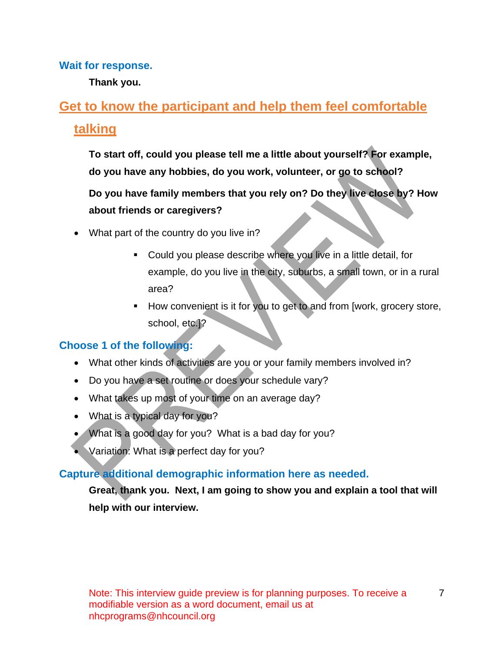### **Wait for response.**

**Thank you.**

# <span id="page-6-0"></span>**Get to know the participant and help them feel comfortable talking**

**To start off, could you please tell me a little about yourself? For example, do you have any hobbies, do you work, volunteer, or go to school?**

**Do you have family members that you rely on? Do they live close by? How about friends or caregivers?** 

- What part of the country do you live in?
	- Could you please describe where you live in a little detail, for example, do you live in the city, suburbs, a small town, or in a rural area?
	- How convenient is it for you to get to and from [work, grocery store, school, etc.]?

# **Choose 1 of the following:**

- What other kinds of activities are you or your family members involved in?
- Do you have a set routine or does your schedule vary?
- What takes up most of your time on an average day?
- What is a typical day for you?
- What is a good day for you? What is a bad day for you?
- Variation: What is a perfect day for you?

### **Capture additional demographic information here as needed.**

**Great, thank you. Next, I am going to show you and explain a tool that will help with our interview.**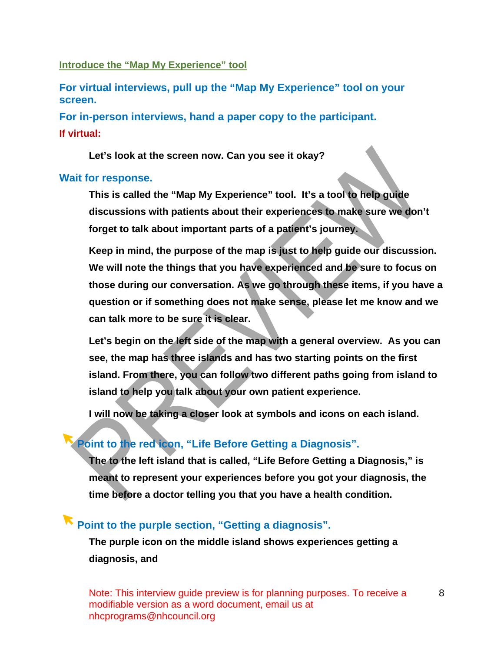### <span id="page-7-0"></span>**Introduce the "Map My Experience" tool**

**For virtual interviews, pull up the "Map My Experience" tool on your screen.** 

**For in-person interviews, hand a paper copy to the participant. If virtual:**

**Let's look at the screen now. Can you see it okay?** 

### **Wait for response.**

**This is called the "Map My Experience" tool. It's a tool to help guide discussions with patients about their experiences to make sure we don't forget to talk about important parts of a patient's journey.** 

**Keep in mind, the purpose of the map is just to help guide our discussion. We will note the things that you have experienced and be sure to focus on those during our conversation. As we go through these items, if you have a question or if something does not make sense, please let me know and we can talk more to be sure it is clear.**

**Let's begin on the left side of the map with a general overview. As you can see, the map has three islands and has two starting points on the first island. From there, you can follow two different paths going from island to island to help you talk about your own patient experience.** 

**I will now be taking a closer look at symbols and icons on each island.**

# **Point to the red icon, "Life Before Getting a Diagnosis".**

**The to the left island that is called, "Life Before Getting a Diagnosis," is meant to represent your experiences before you got your diagnosis, the time before a doctor telling you that you have a health condition.** 

# **Point to the purple section, "Getting a diagnosis".**

**The purple icon on the middle island shows experiences getting a diagnosis, and**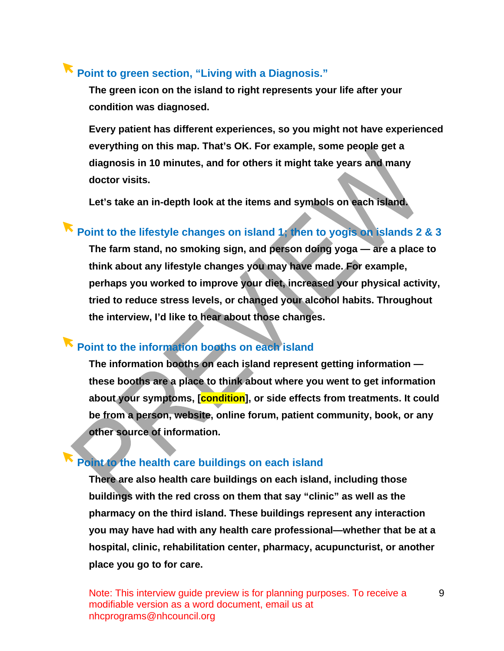# **Point to green section, "Living with a Diagnosis."**

**The green icon on the island to right represents your life after your condition was diagnosed.**

**Every patient has different experiences, so you might not have experienced everything on this map. That's OK. For example, some people get a diagnosis in 10 minutes, and for others it might take years and many doctor visits.** 

**Let's take an in-depth look at the items and symbols on each island.**

# **Point to the lifestyle changes on island 1; then to yogis on islands 2 & 3**

**The farm stand, no smoking sign, and person doing yoga — are a place to think about any lifestyle changes you may have made. For example, perhaps you worked to improve your diet, increased your physical activity, tried to reduce stress levels, or changed your alcohol habits. Throughout the interview, I'd like to hear about those changes.**

# **Point to the information booths on each island**

**The information booths on each island represent getting information these booths are a place to think about where you went to get information about your symptoms, [condition], or side effects from treatments. It could be from a person, website, online forum, patient community, book, or any other source of information.**

# **Point to the health care buildings on each island**

**There are also health care buildings on each island, including those buildings with the red cross on them that say "clinic" as well as the pharmacy on the third island. These buildings represent any interaction you may have had with any health care professional—whether that be at a hospital, clinic, rehabilitation center, pharmacy, acupuncturist, or another place you go to for care.**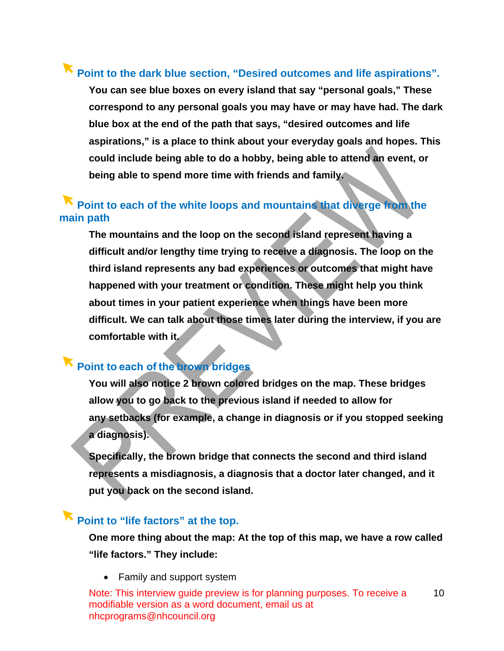# **Point to the dark blue section, "Desired outcomes and life aspirations".**

**You can see blue boxes on every island that say "personal goals," These correspond to any personal goals you may have or may have had. The dark blue box at the end of the path that says, "desired outcomes and life aspirations," is a place to think about your everyday goals and hopes. This could include being able to do a hobby, being able to attend an event, or being able to spend more time with friends and family.** 

# **Point to each of the white loops and mountains that diverge from the main path**

**The mountains and the loop on the second island represent having a difficult and/or lengthy time trying to receive a diagnosis. The loop on the third island represents any bad experiences or outcomes that might have happened with your treatment or condition. These might help you think about times in your patient experience when things have been more difficult. We can talk about those times later during the interview, if you are comfortable with it.**

# **Point to each of the brown bridges**

**You will also notice 2 brown colored bridges on the map. These bridges allow you to go back to the previous island if needed to allow for any setbacks (for example, a change in diagnosis or if you stopped seeking a diagnosis).** 

**Specifically, the brown bridge that connects the second and third island represents a misdiagnosis, a diagnosis that a doctor later changed, and it put you back on the second island.**

# **Point to "life factors" at the top.**

**One more thing about the map: At the top of this map, we have a row called "life factors." They include:**

• Family and support system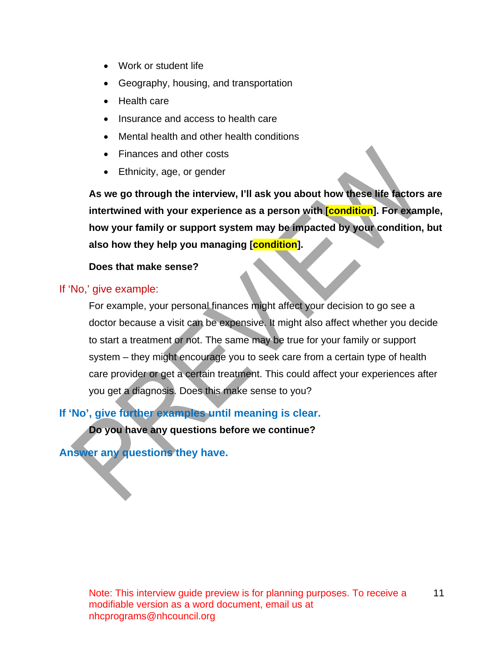- Work or student life
- Geography, housing, and transportation
- Health care
- Insurance and access to health care
- Mental health and other health conditions
- Finances and other costs
- Ethnicity, age, or gender

**As we go through the interview, I'll ask you about how these life factors are intertwined with your experience as a person with [condition]. For example, how your family or support system may be impacted by your condition, but also how they help you managing [condition].** 

### **Does that make sense?**

### If 'No,' give example:

For example, your personal finances might affect your decision to go see a doctor because a visit can be expensive. It might also affect whether you decide to start a treatment or not. The same may be true for your family or support system – they might encourage you to seek care from a certain type of health care provider or get a certain treatment. This could affect your experiences after you get a diagnosis. Does this make sense to you?

**If 'No', give further examples until meaning is clear.**

**Do you have any questions before we continue?**

### **Answer any questions they have.**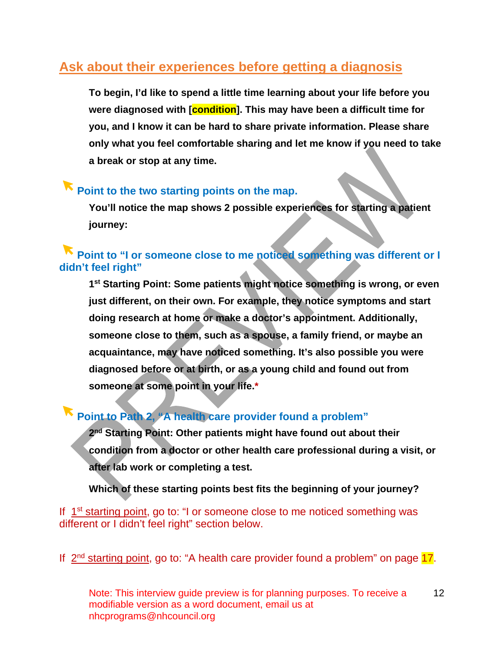# <span id="page-11-0"></span>**Ask about their experiences before getting a diagnosis**

**To begin, I'd like to spend a little time learning about your life before you were diagnosed with [condition]. This may have been a difficult time for you, and I know it can be hard to share private information. Please share only what you feel comfortable sharing and let me know if you need to take a break or stop at any time.**

# **Point to the two starting points on the map.**

**You'll notice the map shows 2 possible experiences for starting a patient journey:** 

# **Point to "I or someone close to me noticed something was different or I didn't feel right"**

**1st Starting Point: Some patients might notice something is wrong, or even just different, on their own. For example, they notice symptoms and start doing research at home or make a doctor's appointment. Additionally, someone close to them, such as a spouse, a family friend, or maybe an acquaintance, may have noticed something. It's also possible you were diagnosed before or at birth, or as a young child and found out from someone at some point in your life.\***

# **Point to Path 2, "A health care provider found a problem"**

**2nd Starting Point: Other patients might have found out about their condition from a doctor or other health care professional during a visit, or after lab work or completing a test.** 

### **Which of these starting points best fits the beginning of your journey?**

If 1st starting point, go to: "I or someone close to me noticed something was different or I didn't feel right" section below.

If  $2<sup>nd</sup>$  starting point, go to: "A health care provider found a problem" on page 17.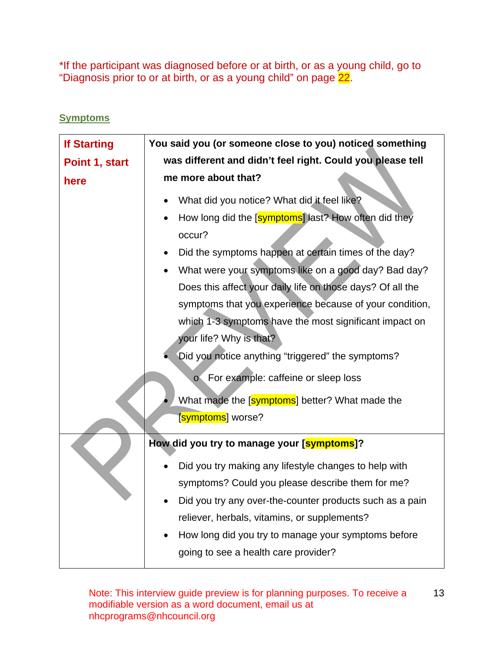\*If the participant was diagnosed before or at birth, or as a young child, go to "Diagnosis prior to or at birth, or as a young child" on page 22.

### <span id="page-12-0"></span>**Symptoms**

| <b>If Starting</b> | You said you (or someone close to you) noticed something         |
|--------------------|------------------------------------------------------------------|
| Point 1, start     | was different and didn't feel right. Could you please tell       |
| here               | me more about that?                                              |
|                    | What did you notice? What did it feel like?                      |
|                    | How long did the [symptoms] last? How often did they<br>occur?   |
|                    | Did the symptoms happen at certain times of the day?             |
|                    | What were your symptoms like on a good day? Bad day?             |
|                    | Does this affect your daily life on those days? Of all the       |
|                    | symptoms that you experience because of your condition,          |
|                    | which 1-3 symptoms have the most significant impact on           |
|                    | your life? Why is that?                                          |
|                    | Did you notice anything "triggered" the symptoms?                |
|                    | For example: caffeine or sleep loss<br>$\overline{O}$            |
|                    | What made the [symptoms] better? What made the                   |
|                    | [ <mark>symptoms</mark> ] worse?                                 |
|                    | How did you try to manage your [symptoms]?                       |
|                    | Did you try making any lifestyle changes to help with            |
|                    | symptoms? Could you please describe them for me?                 |
|                    | Did you try any over-the-counter products such as a pain         |
|                    | reliever, herbals, vitamins, or supplements?                     |
|                    | How long did you try to manage your symptoms before<br>$\bullet$ |
|                    | going to see a health care provider?                             |
|                    |                                                                  |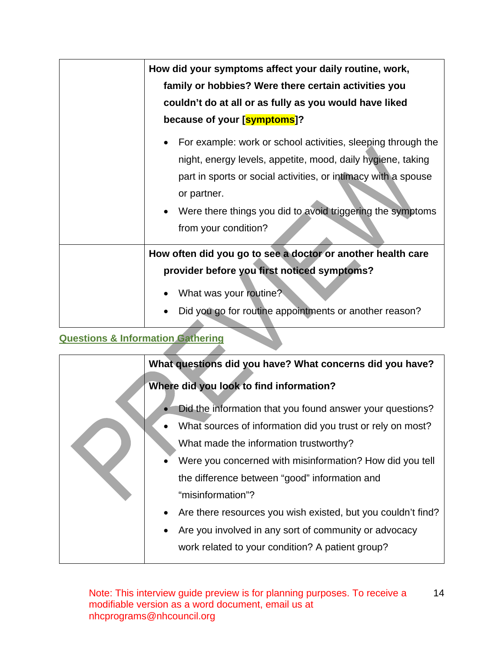| How did your symptoms affect your daily routine, work,                                                                                                                                                                                                                                             |
|----------------------------------------------------------------------------------------------------------------------------------------------------------------------------------------------------------------------------------------------------------------------------------------------------|
| family or hobbies? Were there certain activities you                                                                                                                                                                                                                                               |
| couldn't do at all or as fully as you would have liked                                                                                                                                                                                                                                             |
| because of your [symptoms]?                                                                                                                                                                                                                                                                        |
| For example: work or school activities, sleeping through the<br>night, energy levels, appetite, mood, daily hygiene, taking<br>part in sports or social activities, or intimacy with a spouse<br>or partner.<br>Were there things you did to avoid triggering the symptoms<br>from your condition? |
| How often did you go to see a doctor or another health care                                                                                                                                                                                                                                        |
| provider before you first noticed symptoms?                                                                                                                                                                                                                                                        |
| What was your routine?                                                                                                                                                                                                                                                                             |
| Did you go for routine appointments or another reason?                                                                                                                                                                                                                                             |

# <span id="page-13-0"></span>**Questions & Information Gathering**

|  | What questions did you have? What concerns did you have?     |
|--|--------------------------------------------------------------|
|  | Where did you look to find information?                      |
|  | Did the information that you found answer your questions?    |
|  | What sources of information did you trust or rely on most?   |
|  | What made the information trustworthy?                       |
|  | Were you concerned with misinformation? How did you tell     |
|  | the difference between "good" information and                |
|  | "misinformation"?                                            |
|  | Are there resources you wish existed, but you couldn't find? |
|  | Are you involved in any sort of community or advocacy        |
|  | work related to your condition? A patient group?             |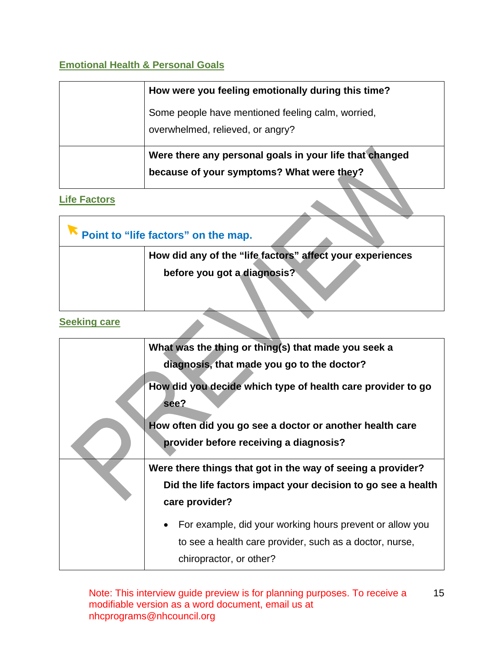### <span id="page-14-0"></span>**Emotional Health & Personal Goals**

| How were you feeling emotionally during this time?                                                   |
|------------------------------------------------------------------------------------------------------|
| Some people have mentioned feeling calm, worried,<br>overwhelmed, relieved, or angry?                |
| Were there any personal goals in your life that changed<br>because of your symptoms? What were they? |

### <span id="page-14-1"></span>**Life Factors**

| Point to "life factors" on the map.                       |
|-----------------------------------------------------------|
| How did any of the "life factors" affect your experiences |
| before you got a diagnosis?                               |
|                                                           |
|                                                           |

### <span id="page-14-2"></span>**Seeking care**

|  | What was the thing or thing(s) that made you seek a                 |
|--|---------------------------------------------------------------------|
|  | diagnosis, that made you go to the doctor?                          |
|  | How did you decide which type of health care provider to go<br>see? |
|  | How often did you go see a doctor or another health care            |
|  | provider before receiving a diagnosis?                              |
|  | Were there things that got in the way of seeing a provider?         |
|  | Did the life factors impact your decision to go see a health        |
|  | care provider?                                                      |
|  | For example, did your working hours prevent or allow you            |
|  | to see a health care provider, such as a doctor, nurse,             |
|  | chiropractor, or other?                                             |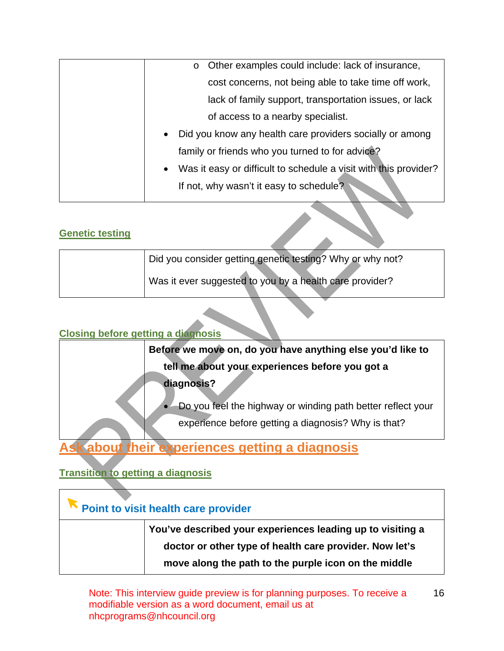| o Other examples could include: lack of insurance,                    |
|-----------------------------------------------------------------------|
| cost concerns, not being able to take time off work,                  |
| lack of family support, transportation issues, or lack                |
| of access to a nearby specialist.                                     |
| Did you know any health care providers socially or among<br>$\bullet$ |
| family or friends who you turned to for advice?                       |
| Was it easy or difficult to schedule a visit with this provider?      |
| If not, why wasn't it easy to schedule?                               |

### <span id="page-15-0"></span>**Genetic testing**

| Did you consider getting genetic testing? Why or why not? |
|-----------------------------------------------------------|
| Was it ever suggested to you by a health care provider?   |

### <span id="page-15-1"></span>**Closing before getting a diagnosis**

| Before we move on, do you have anything else you'd like to    |
|---------------------------------------------------------------|
| tell me about your experiences before you got a               |
| diagnosis?                                                    |
| • Do you feel the highway or winding path better reflect your |
| experience before getting a diagnosis? Why is that?           |

# <span id="page-15-2"></span>**Ask about their experiences getting a diagnosis**

## <span id="page-15-3"></span>**Transition to getting a diagnosis**

| Point to visit health care provider |                                                                                                                                                                               |
|-------------------------------------|-------------------------------------------------------------------------------------------------------------------------------------------------------------------------------|
|                                     | You've described your experiences leading up to visiting a<br>doctor or other type of health care provider. Now let's<br>move along the path to the purple icon on the middle |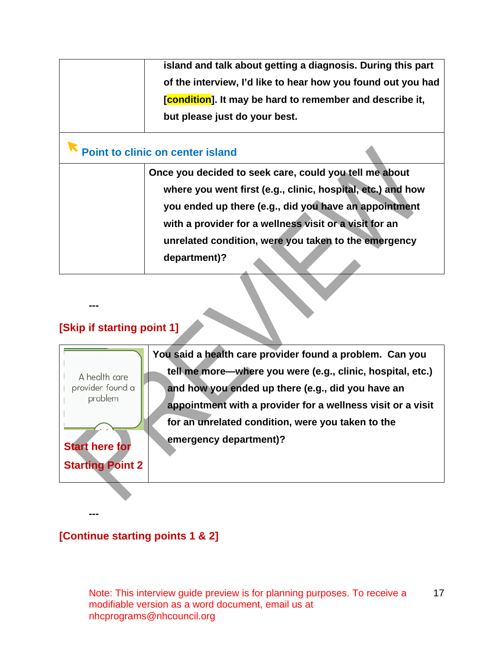| island and talk about getting a diagnosis. During this part  |  |
|--------------------------------------------------------------|--|
| of the interview, I'd like to hear how you found out you had |  |
| [condition]. It may be hard to remember and describe it,     |  |
| but please just do your best.                                |  |
| <b>Point to clinic on center island</b>                      |  |
| Once you decided to seek care, could you tell me about       |  |
| where you went first (e.g., clinic, hospital, etc.) and how  |  |
| you ended up there (e.g., did you have an appointment        |  |
| with a provider for a wellness visit or a visit for an       |  |
| unrelated condition, were you taken to the emergency         |  |
| department)?                                                 |  |
|                                                              |  |

### **[Skip if starting point 1]**

**---**

**You said a health care provider found a problem. Can you tell me more—where you were (e.g., clinic, hospital, etc.)**  A health care provider found a **and how you ended up there (e.g., did you have an**  problem **appointment with a provider for a wellness visit or a visit for an unrelated condition, were you taken to the emergency department)? Start here for Starting Point 2**

**---**

### **[Continue starting points 1 & 2]**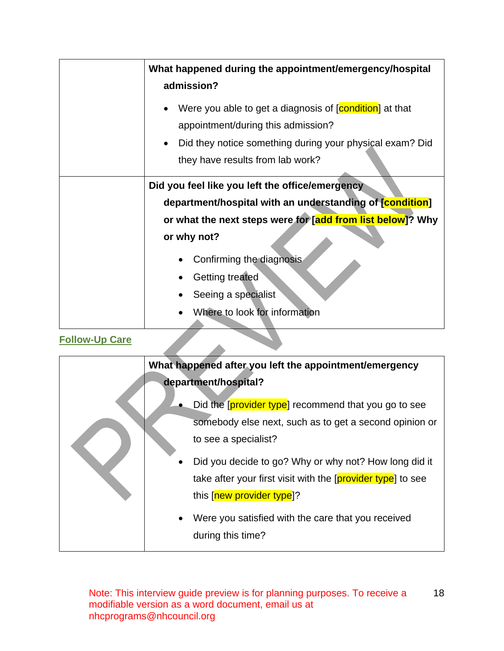|                       | What happened during the appointment/emergency/hospital                                       |
|-----------------------|-----------------------------------------------------------------------------------------------|
|                       | admission?                                                                                    |
|                       | Were you able to get a diagnosis of [condition] at that<br>appointment/during this admission? |
|                       | Did they notice something during your physical exam? Did                                      |
|                       | they have results from lab work?                                                              |
|                       | Did you feel like you left the office/emergency                                               |
|                       | department/hospital with an understanding of [condition]                                      |
|                       | or what the next steps were for [add from list below]? Why                                    |
|                       | or why not?                                                                                   |
|                       | Confirming the diagnosis                                                                      |
|                       | <b>Getting treated</b>                                                                        |
|                       | Seeing a specialist                                                                           |
|                       | Where to look for information                                                                 |
| <b>Follow-Up Care</b> |                                                                                               |

### <span id="page-17-0"></span>**Follow-Up Care**

| What happened after you left the appointment/emergency      |
|-------------------------------------------------------------|
| department/hospital?                                        |
| Did the provider type recommend that you go to see          |
| somebody else next, such as to get a second opinion or      |
| to see a specialist?                                        |
| Did you decide to go? Why or why not? How long did it       |
| take after your first visit with the [provider type] to see |
| this [new provider type]?                                   |
| Were you satisfied with the care that you received          |
| during this time?                                           |
|                                                             |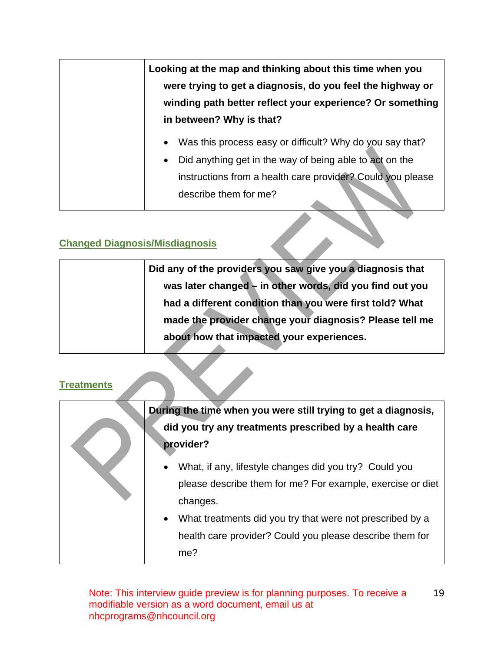| Looking at the map and thinking about this time when you<br>were trying to get a diagnosis, do you feel the highway or<br>winding path better reflect your experience? Or something<br>in between? Why is that?                      |
|--------------------------------------------------------------------------------------------------------------------------------------------------------------------------------------------------------------------------------------|
| Was this process easy or difficult? Why do you say that?<br>$\bullet$<br>Did anything get in the way of being able to act on the<br>$\bullet$<br>instructions from a health care provider? Could you please<br>describe them for me? |

# <span id="page-18-0"></span>**Changed Diagnosis/Misdiagnosis**

| Did any of the providers you saw give you a diagnosis that |
|------------------------------------------------------------|
| was later changed - in other words, did you find out you   |
| had a different condition than you were first told? What   |
| made the provider change your diagnosis? Please tell me    |
| about how that impacted your experiences.                  |
|                                                            |

<span id="page-18-1"></span>

| <b>Treatments</b> |                                                                                                                                                                                                                                                                               |
|-------------------|-------------------------------------------------------------------------------------------------------------------------------------------------------------------------------------------------------------------------------------------------------------------------------|
|                   | During the time when you were still trying to get a diagnosis,<br>did you try any treatments prescribed by a health care<br>provider?                                                                                                                                         |
|                   | What, if any, lifestyle changes did you try? Could you<br>$\bullet$<br>please describe them for me? For example, exercise or diet<br>changes.<br>What treatments did you try that were not prescribed by a<br>health care provider? Could you please describe them for<br>me? |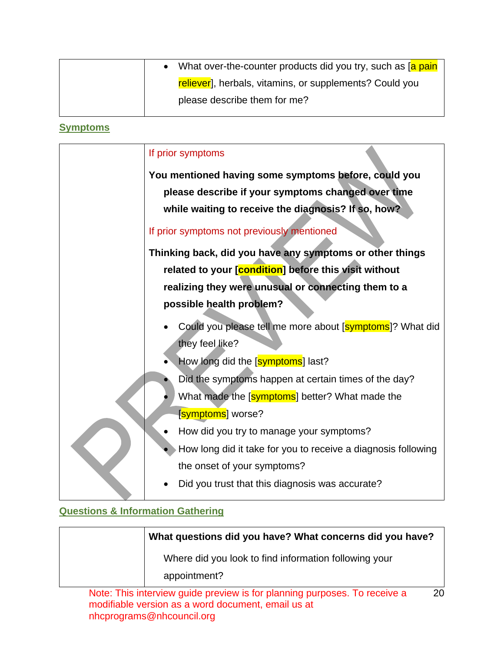|  | • What over-the-counter products did you try, such as [a pain] |
|--|----------------------------------------------------------------|
|  | reliever], herbals, vitamins, or supplements? Could you        |
|  | please describe them for me?                                   |

### <span id="page-19-0"></span>**Symptoms**

| If prior symptoms                                             |
|---------------------------------------------------------------|
| You mentioned having some symptoms before, could you          |
| please describe if your symptoms changed over time            |
| while waiting to receive the diagnosis? If so, how?           |
| If prior symptoms not previously mentioned                    |
| Thinking back, did you have any symptoms or other things      |
| related to your [condition] before this visit without         |
| realizing they were unusual or connecting them to a           |
| possible health problem?                                      |
| Could you please tell me more about [symptoms]? What did      |
| they feel like?                                               |
| How long did the [symptoms] last?                             |
| Did the symptoms happen at certain times of the day?          |
| What made the [symptoms] better? What made the                |
| [symptoms] worse?                                             |
| How did you try to manage your symptoms?                      |
| How long did it take for you to receive a diagnosis following |
| the onset of your symptoms?                                   |
| Did you trust that this diagnosis was accurate?               |

## <span id="page-19-1"></span>**Questions & Information Gathering**

| What questions did you have? What concerns did you have? |
|----------------------------------------------------------|
| Where did you look to find information following your    |
| appointment?                                             |
|                                                          |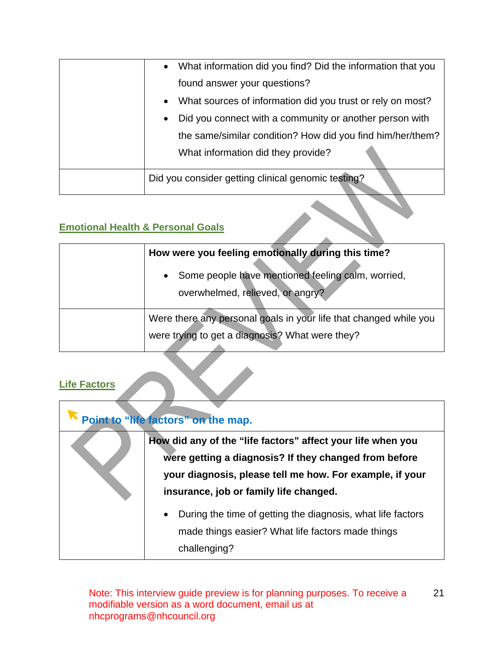| Did you consider getting clinical genomic testing?                       |
|--------------------------------------------------------------------------|
| What information did they provide?                                       |
| the same/similar condition? How did you find him/her/them?               |
| Did you connect with a community or another person with<br>$\bullet$     |
| What sources of information did you trust or rely on most?<br>$\bullet$  |
| found answer your questions?                                             |
| What information did you find? Did the information that you<br>$\bullet$ |

### <span id="page-20-0"></span>**Emotional Health & Personal Goals**

| How were you feeling emotionally during this time?                                                                   |  |
|----------------------------------------------------------------------------------------------------------------------|--|
| Some people have mentioned feeling calm, worried,<br>$\bullet$<br>overwhelmed, relieved, or angry?                   |  |
| Were there any personal goals in your life that changed while you<br>were trying to get a diagnosis? What were they? |  |

### <span id="page-20-1"></span>**Life Factors**

| Point to "life factors" on the map. |                                                                                                                                                                                                                            |  |
|-------------------------------------|----------------------------------------------------------------------------------------------------------------------------------------------------------------------------------------------------------------------------|--|
|                                     | How did any of the "life factors" affect your life when you<br>were getting a diagnosis? If they changed from before<br>your diagnosis, please tell me how. For example, if your<br>insurance, job or family life changed. |  |
|                                     | During the time of getting the diagnosis, what life factors<br>$\bullet$<br>made things easier? What life factors made things<br>challenging?                                                                              |  |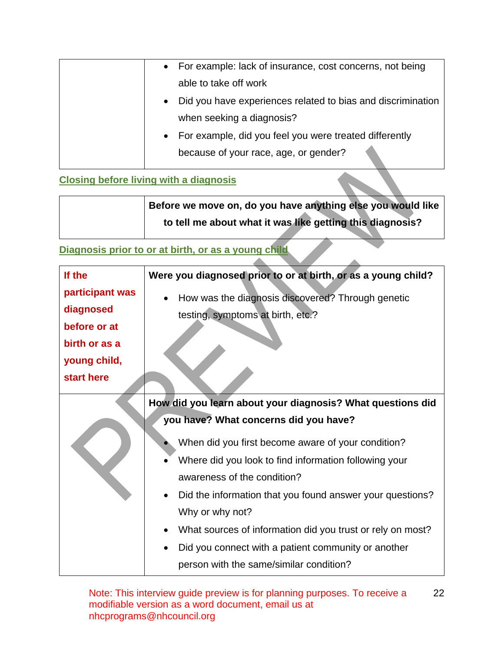| • For example: lack of insurance, cost concerns, not being               |
|--------------------------------------------------------------------------|
| able to take off work                                                    |
| Did you have experiences related to bias and discrimination<br>$\bullet$ |
| when seeking a diagnosis?                                                |
| • For example, did you feel you were treated differently                 |
| because of your race, age, or gender?                                    |

### <span id="page-21-0"></span>**Closing before living with a diagnosis**

**Before we move on, do you have anything else you would like to tell me about what it was like getting this diagnosis?**

 $\Delta \mathbf{r}$ 

## <span id="page-21-1"></span>**Diagnosis prior to or at birth, or as a young child**

| If the<br>participant was<br>diagnosed<br>before or at<br>birth or as a | Were you diagnosed prior to or at birth, or as a young child?<br>How was the diagnosis discovered? Through genetic<br>testing, symptoms at birth, etc.?                                                                                                                                                                                                                                                                                                |
|-------------------------------------------------------------------------|--------------------------------------------------------------------------------------------------------------------------------------------------------------------------------------------------------------------------------------------------------------------------------------------------------------------------------------------------------------------------------------------------------------------------------------------------------|
| young child,<br>start here                                              |                                                                                                                                                                                                                                                                                                                                                                                                                                                        |
|                                                                         | How did you learn about your diagnosis? What questions did<br>you have? What concerns did you have?<br>When did you first become aware of your condition?<br>Where did you look to find information following your<br>awareness of the condition?<br>Did the information that you found answer your questions?<br>Why or why not?<br>What sources of information did you trust or rely on most?<br>Did you connect with a patient community or another |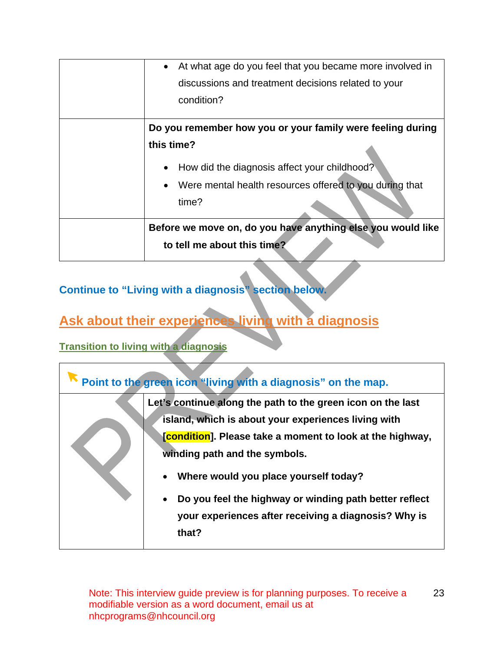| At what age do you feel that you became more involved in<br>$\bullet$ |
|-----------------------------------------------------------------------|
| discussions and treatment decisions related to your                   |
| condition?                                                            |
| Do you remember how you or your family were feeling during            |
| this time?                                                            |
| How did the diagnosis affect your childhood?<br>$\bullet$             |
| Were mental health resources offered to you during that               |
| time?                                                                 |
| Before we move on, do you have anything else you would like           |
| to tell me about this time?                                           |
|                                                                       |

## **Continue to "Living with a diagnosis" section below.**

# <span id="page-22-0"></span>**Ask about their experiences living with a diagnosis**

### <span id="page-22-1"></span>**Transition to living with a diagnosis**

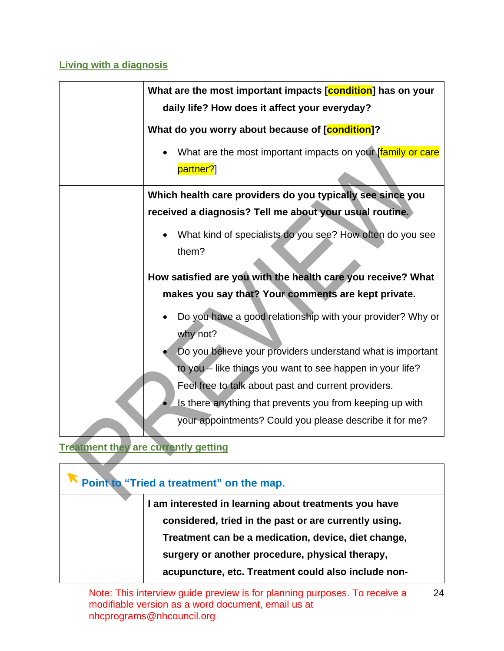### <span id="page-23-0"></span>**Living with a diagnosis**

| What are the most important impacts [condition] has on your<br>daily life? How does it affect your everyday? |
|--------------------------------------------------------------------------------------------------------------|
| What do you worry about because of [condition]?                                                              |
| What are the most important impacts on your [family or care]<br>partner?]                                    |
| Which health care providers do you typically see since you                                                   |
| received a diagnosis? Tell me about your usual routine.                                                      |
| What kind of specialists do you see? How often do you see<br>$\bullet$<br>them?                              |
| How satisfied are you with the health care you receive? What                                                 |
| makes you say that? Your comments are kept private.                                                          |
| Do you have a good relationship with your provider? Why or<br>why not?                                       |
| Do you believe your providers understand what is important                                                   |
| to you – like things you want to see happen in your life?                                                    |
| Feel free to talk about past and current providers.                                                          |
| Is there anything that prevents you from keeping up with                                                     |
| your appointments? Could you please describe it for me?                                                      |

### <span id="page-23-1"></span>**Treatment they are currently getting**  $\mathcal{L}$

| Point to "Tried a treatment" on the map. |                                                       |
|------------------------------------------|-------------------------------------------------------|
|                                          | I am interested in learning about treatments you have |
|                                          | considered, tried in the past or are currently using. |
|                                          | Treatment can be a medication, device, diet change,   |
|                                          | surgery or another procedure, physical therapy,       |
|                                          | acupuncture, etc. Treatment could also include non-   |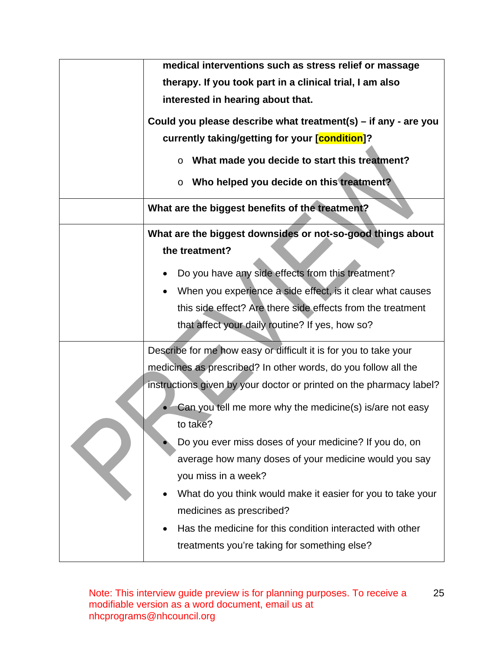| medical interventions such as stress relief or massage                  |
|-------------------------------------------------------------------------|
| therapy. If you took part in a clinical trial, I am also                |
| interested in hearing about that.                                       |
| Could you please describe what treatment(s) – if any - are you          |
| currently taking/getting for your [condition]?                          |
|                                                                         |
| What made you decide to start this treatment?<br>$\circ$                |
| Who helped you decide on this treatment?<br>$\circ$                     |
| What are the biggest benefits of the treatment?                         |
| What are the biggest downsides or not-so-good things about              |
| the treatment?                                                          |
| Do you have any side effects from this treatment?                       |
| When you experience a side effect, is it clear what causes<br>$\bullet$ |
| this side effect? Are there side effects from the treatment             |
| that affect your daily routine? If yes, how so?                         |
|                                                                         |
| Describe for me how easy or difficult it is for you to take your        |
| medicines as prescribed? In other words, do you follow all the          |
| instructions given by your doctor or printed on the pharmacy label?     |
| Can you tell me more why the medicine(s) is/are not easy                |
| to take?                                                                |
| Do you ever miss doses of your medicine? If you do, on                  |
| average how many doses of your medicine would you say                   |
| you miss in a week?                                                     |
| What do you think would make it easier for you to take your             |
|                                                                         |
| medicines as prescribed?                                                |
| Has the medicine for this condition interacted with other               |
| treatments you're taking for something else?                            |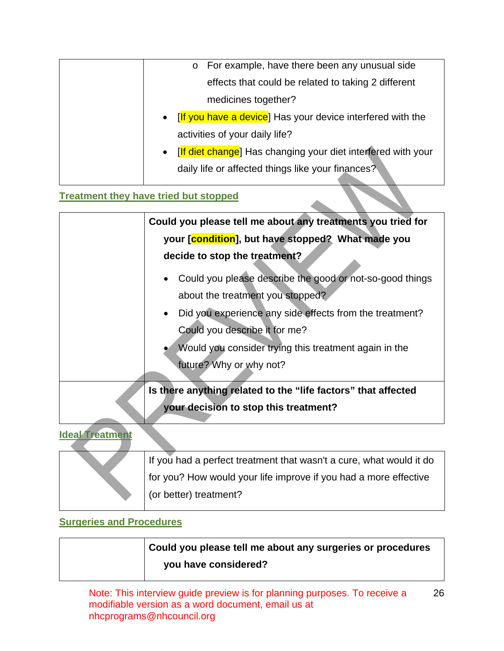| o For example, have there been any unusual side                           |
|---------------------------------------------------------------------------|
| effects that could be related to taking 2 different                       |
| medicines together?                                                       |
| • [If you have a device] Has your device interfered with the              |
| activities of your daily life?                                            |
| [If diet change] Has changing your diet interfered with your<br>$\bullet$ |
| daily life or affected things like your finances?                         |

## <span id="page-25-0"></span>**Treatment they have tried but stopped**

|                   | Could you please tell me about any treatments you tried for   |
|-------------------|---------------------------------------------------------------|
|                   | your [condition], but have stopped? What made you             |
|                   | decide to stop the treatment?                                 |
|                   | Could you please describe the good or not-so-good things      |
|                   | about the treatment you stopped?                              |
|                   | Did you experience any side effects from the treatment?       |
|                   | Could you describe it for me?                                 |
|                   | Would you consider trying this treatment again in the         |
|                   | future? Why or why not?                                       |
|                   | Is there anything related to the "life factors" that affected |
|                   | your decision to stop this treatment?                         |
| lalool Tungtingan |                                                               |

### <span id="page-25-1"></span>**Ideal Treatment**

|  | If you had a perfect treatment that wasn't a cure, what would it do |
|--|---------------------------------------------------------------------|
|  | for you? How would your life improve if you had a more effective    |
|  | (or better) treatment?                                              |
|  |                                                                     |

## <span id="page-25-2"></span>**Surgeries and Procedures**

| Could you please tell me about any surgeries or procedures |
|------------------------------------------------------------|
| you have considered?                                       |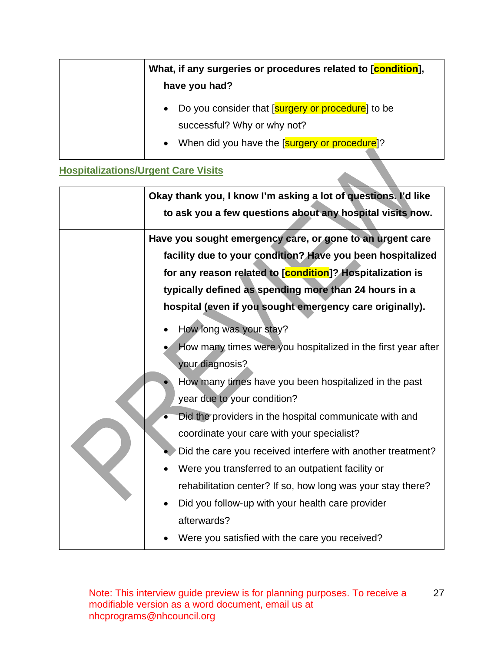| What, if any surgeries or procedures related to [condition],<br>have you had?                                                         |
|---------------------------------------------------------------------------------------------------------------------------------------|
| • Do you consider that [surgery or procedure] to be<br>successful? Why or why not?<br>• When did you have the [surgery or procedure]? |

### <span id="page-26-0"></span>**Hospitalizations/Urgent Care Visits**

| Okay thank you, I know I'm asking a lot of questions. I'd like<br>to ask you a few questions about any hospital visits now.                                                                                                                                                                                                                                                                                                                                                                                                                                                                                        |
|--------------------------------------------------------------------------------------------------------------------------------------------------------------------------------------------------------------------------------------------------------------------------------------------------------------------------------------------------------------------------------------------------------------------------------------------------------------------------------------------------------------------------------------------------------------------------------------------------------------------|
| Have you sought emergency care, or gone to an urgent care<br>facility due to your condition? Have you been hospitalized<br>for any reason related to [condition]? Hospitalization is<br>typically defined as spending more than 24 hours in a<br>hospital (even if you sought emergency care originally).                                                                                                                                                                                                                                                                                                          |
| How long was your stay?<br>How many times were you hospitalized in the first year after<br>your diagnosis?<br>How many times have you been hospitalized in the past<br>year due to your condition?<br>Did the providers in the hospital communicate with and<br>coordinate your care with your specialist?<br>Did the care you received interfere with another treatment?<br>Were you transferred to an outpatient facility or<br>rehabilitation center? If so, how long was your stay there?<br>Did you follow-up with your health care provider<br>afterwards?<br>Were you satisfied with the care you received? |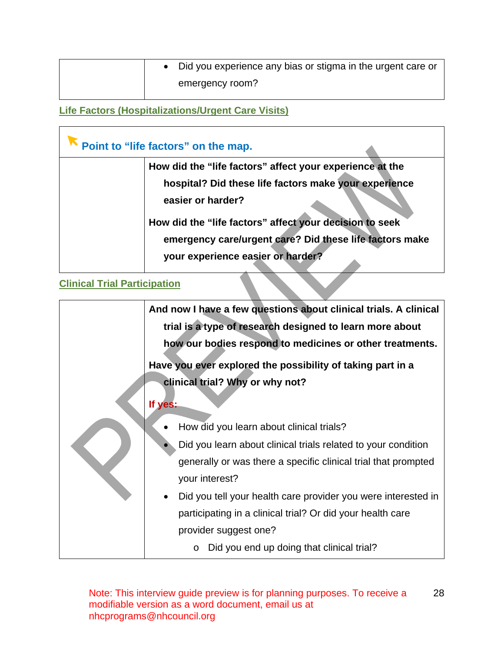|  | Did you experience any bias or stigma in the urgent care or |
|--|-------------------------------------------------------------|
|  | emergency room?                                             |

<span id="page-27-0"></span>**Life Factors (Hospitalizations/Urgent Care Visits)**

|                                     | Point to "life factors" on the map.                      |
|-------------------------------------|----------------------------------------------------------|
|                                     | How did the "life factors" affect your experience at the |
|                                     | hospital? Did these life factors make your experience    |
|                                     | easier or harder?                                        |
|                                     | How did the "life factors" affect your decision to seek  |
|                                     | emergency care/urgent care? Did these life factors make  |
|                                     | your experience easier or harder?                        |
| <b>Clinical Trial Participation</b> |                                                          |

<span id="page-27-1"></span>

|  | And now I have a few questions about clinical trials. A clinical<br>trial is a type of research designed to learn more about<br>how our bodies respond to medicines or other treatments. |
|--|------------------------------------------------------------------------------------------------------------------------------------------------------------------------------------------|
|  | Have you ever explored the possibility of taking part in a                                                                                                                               |
|  | clinical trial? Why or why not?                                                                                                                                                          |
|  | If yes:                                                                                                                                                                                  |
|  | How did you learn about clinical trials?                                                                                                                                                 |
|  | Did you learn about clinical trials related to your condition                                                                                                                            |
|  | generally or was there a specific clinical trial that prompted                                                                                                                           |
|  | your interest?                                                                                                                                                                           |
|  | Did you tell your health care provider you were interested in                                                                                                                            |
|  | participating in a clinical trial? Or did your health care                                                                                                                               |
|  | provider suggest one?                                                                                                                                                                    |
|  | Did you end up doing that clinical trial?<br>O                                                                                                                                           |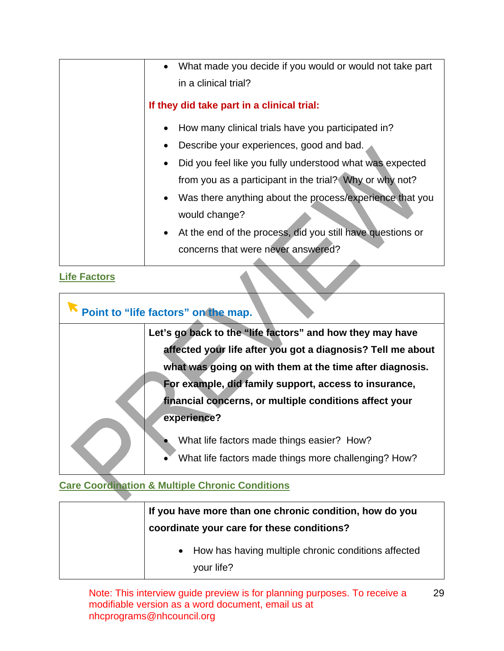| What made you decide if you would or would not take part   |
|------------------------------------------------------------|
| in a clinical trial?                                       |
| If they did take part in a clinical trial:                 |
| How many clinical trials have you participated in?         |
| Describe your experiences, good and bad.                   |
| Did you feel like you fully understood what was expected   |
| from you as a participant in the trial? Why or why not?    |
| • Was there anything about the process/experience that you |
| would change?                                              |
| At the end of the process, did you still have questions or |
| concerns that were never answered?                         |

<span id="page-28-0"></span>**Life Factors**

Г

| Point to "life factors" on the map.                                                                                                                                                                                                                                                                                    |
|------------------------------------------------------------------------------------------------------------------------------------------------------------------------------------------------------------------------------------------------------------------------------------------------------------------------|
| Let's go back to the "life factors" and how they may have<br>affected your life after you got a diagnosis? Tell me about<br>what was going on with them at the time after diagnosis.<br>For example, did family support, access to insurance,<br>financial concerns, or multiple conditions affect your<br>experience? |
| What life factors made things easier? How?<br>What life factors made things more challenging? How?                                                                                                                                                                                                                     |

# <span id="page-28-1"></span>**Care Coordination & Multiple Chronic Conditions**

| If you have more than one chronic condition, how do you<br>coordinate your care for these conditions? |
|-------------------------------------------------------------------------------------------------------|
| • How has having multiple chronic conditions affected<br>your life?                                   |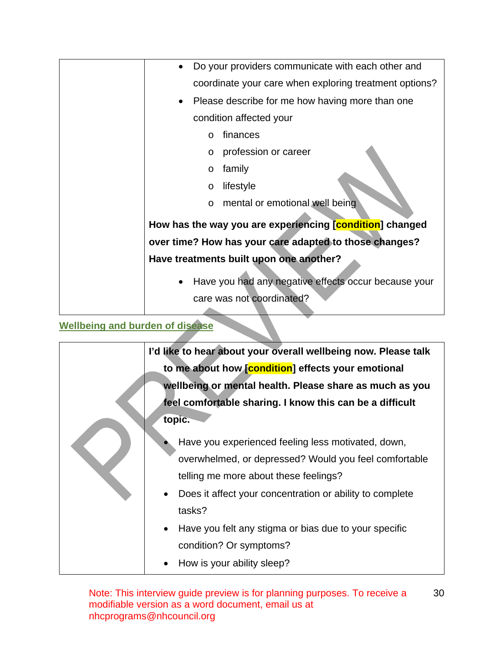| Do your providers communicate with each other and        |
|----------------------------------------------------------|
| coordinate your care when exploring treatment options?   |
| Please describe for me how having more than one<br>٠     |
| condition affected your                                  |
| finances<br>$\circ$                                      |
| profession or career<br>$\circ$                          |
| family<br>O                                              |
| lifestyle<br>$\circ$                                     |
| o mental or emotional well being                         |
| How has the way you are experiencing [condition] changed |
| over time? How has your care adapted to those changes?   |
| Have treatments built upon one another?                  |
| Have you had any negative effects occur because your     |
| care was not coordinated?                                |
|                                                          |

## <span id="page-29-0"></span>**Wellbeing and burden of disease**

| I'd like to hear about your overall wellbeing now. Please talk |
|----------------------------------------------------------------|
| to me about how [condition] effects your emotional             |
| wellbeing or mental health. Please share as much as you        |
| feel comfortable sharing. I know this can be a difficult       |
| topic.                                                         |
| Have you experienced feeling less motivated, down,             |
| overwhelmed, or depressed? Would you feel comfortable          |
| telling me more about these feelings?                          |
| Does it affect your concentration or ability to complete       |
| tasks?                                                         |
| Have you felt any stigma or bias due to your specific          |
| condition? Or symptoms?                                        |
| How is your ability sleep?                                     |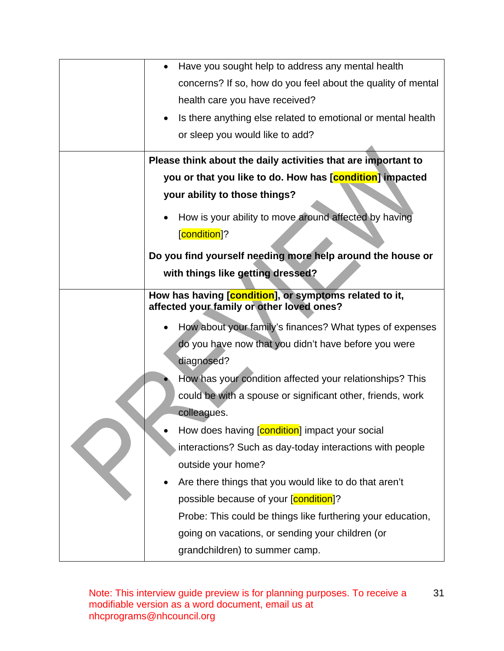| Have you sought help to address any mental health<br>$\bullet$            |
|---------------------------------------------------------------------------|
| concerns? If so, how do you feel about the quality of mental              |
| health care you have received?                                            |
| Is there anything else related to emotional or mental health<br>$\bullet$ |
| or sleep you would like to add?                                           |
| Please think about the daily activities that are important to             |
| you or that you like to do. How has [condition] impacted                  |
| your ability to those things?                                             |
|                                                                           |
| How is your ability to move around affected by having                     |
| [condition]?                                                              |
| Do you find yourself needing more help around the house or                |
| with things like getting dressed?                                         |
| How has having [condition], or symptoms related to it,                    |
| affected your family or other loved ones?                                 |
| How about your family's finances? What types of expenses<br>$\bullet$     |
| do you have now that you didn't have before you were                      |
| diagnosed?                                                                |
| How has your condition affected your relationships? This                  |
| could be with a spouse or significant other, friends, work                |
| colleagues.                                                               |
| How does having [condition] impact your social                            |
| interactions? Such as day-today interactions with people                  |
| outside your home?                                                        |
| Are there things that you would like to do that aren't                    |
| possible because of your [condition]?                                     |
| Probe: This could be things like furthering your education,               |
|                                                                           |
| going on vacations, or sending your children (or                          |
| grandchildren) to summer camp.                                            |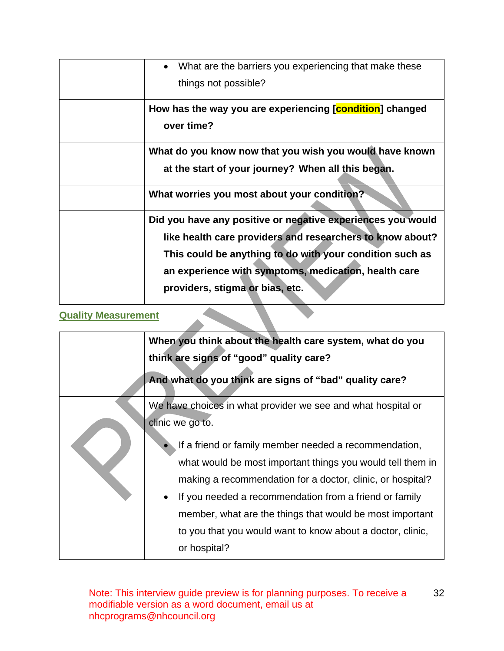| What are the barriers you experiencing that make these<br>$\bullet$<br>things not possible?                                                                                                                                                                                     |
|---------------------------------------------------------------------------------------------------------------------------------------------------------------------------------------------------------------------------------------------------------------------------------|
| How has the way you are experiencing [condition] changed<br>over time?                                                                                                                                                                                                          |
| What do you know now that you wish you would have known<br>at the start of your journey? When all this began.                                                                                                                                                                   |
| What worries you most about your condition?                                                                                                                                                                                                                                     |
| Did you have any positive or negative experiences you would<br>like health care providers and researchers to know about?<br>This could be anything to do with your condition such as<br>an experience with symptoms, medication, health care<br>providers, stigma or bias, etc. |

### **Quality Measurement**

<span id="page-31-0"></span>

| <b>Quality Measurement</b> |                                                                                                                                                                                                                                                                                                                                                                                       |  |
|----------------------------|---------------------------------------------------------------------------------------------------------------------------------------------------------------------------------------------------------------------------------------------------------------------------------------------------------------------------------------------------------------------------------------|--|
|                            | When you think about the health care system, what do you                                                                                                                                                                                                                                                                                                                              |  |
|                            | think are signs of "good" quality care?                                                                                                                                                                                                                                                                                                                                               |  |
|                            | And what do you think are signs of "bad" quality care?                                                                                                                                                                                                                                                                                                                                |  |
|                            | We have choices in what provider we see and what hospital or<br>clinic we go to.                                                                                                                                                                                                                                                                                                      |  |
|                            | If a friend or family member needed a recommendation,<br>what would be most important things you would tell them in<br>making a recommendation for a doctor, clinic, or hospital?<br>If you needed a recommendation from a friend or family<br>member, what are the things that would be most important<br>to you that you would want to know about a doctor, clinic,<br>or hospital? |  |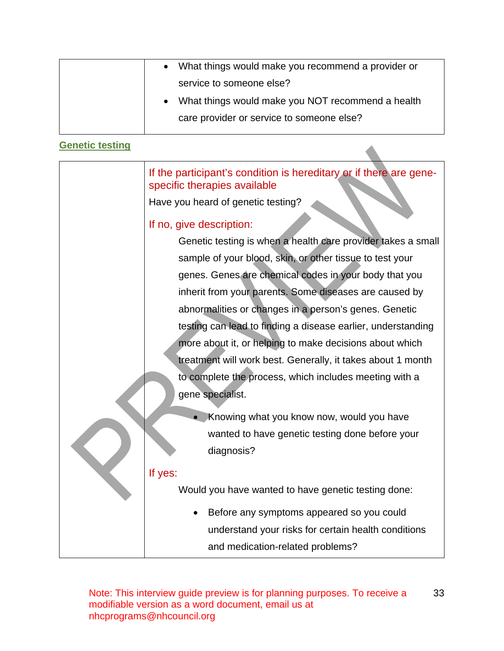<span id="page-32-0"></span>

|                        | What things would make you recommend a provider or                                                 |
|------------------------|----------------------------------------------------------------------------------------------------|
|                        | service to someone else?                                                                           |
|                        | What things would make you NOT recommend a health                                                  |
|                        | care provider or service to someone else?                                                          |
|                        |                                                                                                    |
| <b>Genetic testing</b> |                                                                                                    |
|                        | If the participant's condition is hereditary or if there are gene-<br>specific therapies available |
|                        | Have you heard of genetic testing?                                                                 |
|                        | If no, give description:                                                                           |
|                        | Genetic testing is when a health care provider takes a small                                       |
|                        | sample of your blood, skin, or other tissue to test your                                           |
|                        | genes. Genes are chemical codes in your body that you                                              |
|                        | inherit from your parents. Some diseases are caused by                                             |
|                        | abnormalities or changes in a person's genes. Genetic                                              |
|                        | testing can lead to finding a disease earlier, understanding                                       |
|                        | more about it, or helping to make decisions about which                                            |
|                        | treatment will work best. Generally, it takes about 1 month                                        |
|                        | to complete the process, which includes meeting with a                                             |
|                        | gene specialist.                                                                                   |
|                        | Knowing what you know now, would you have                                                          |
|                        | wanted to have genetic testing done before your                                                    |
|                        | diagnosis?                                                                                         |
|                        | If yes:                                                                                            |
|                        | Would you have wanted to have genetic testing done:                                                |
|                        | Before any symptoms appeared so you could                                                          |
|                        | understand your risks for certain health conditions                                                |
|                        | and medication-related problems?                                                                   |
|                        |                                                                                                    |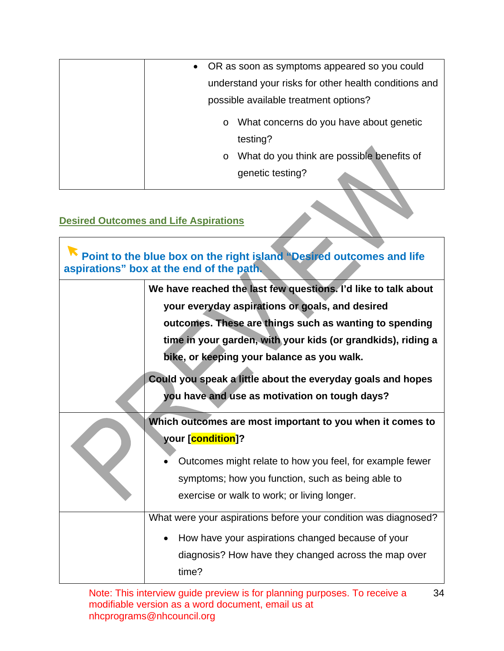| • OR as soon as symptoms appeared so you could        |
|-------------------------------------------------------|
| understand your risks for other health conditions and |
| possible available treatment options?                 |
| What concerns do you have about genetic<br>$\circ$    |
| testing?                                              |
| What do you think are possible benefits of<br>$\circ$ |
| genetic testing?                                      |

### <span id="page-33-0"></span>**Desired Outcomes and Life Aspirations**

| Point to the blue box on the right island "Desired outcomes and life<br>aspirations" box at the end of the path. |                                                                                                                                                                                                                                                                                                                                                                                                           |  |
|------------------------------------------------------------------------------------------------------------------|-----------------------------------------------------------------------------------------------------------------------------------------------------------------------------------------------------------------------------------------------------------------------------------------------------------------------------------------------------------------------------------------------------------|--|
|                                                                                                                  | We have reached the last few questions. I'd like to talk about<br>your everyday aspirations or goals, and desired<br>outcomes. These are things such as wanting to spending<br>time in your garden, with your kids (or grandkids), riding a<br>bike, or keeping your balance as you walk.<br>Could you speak a little about the everyday goals and hopes<br>you have and use as motivation on tough days? |  |
|                                                                                                                  | Which outcomes are most important to you when it comes to<br>your [condition]?<br>Outcomes might relate to how you feel, for example fewer<br>symptoms; how you function, such as being able to<br>exercise or walk to work; or living longer.                                                                                                                                                            |  |
|                                                                                                                  | What were your aspirations before your condition was diagnosed?<br>How have your aspirations changed because of your<br>diagnosis? How have they changed across the map over<br>time?                                                                                                                                                                                                                     |  |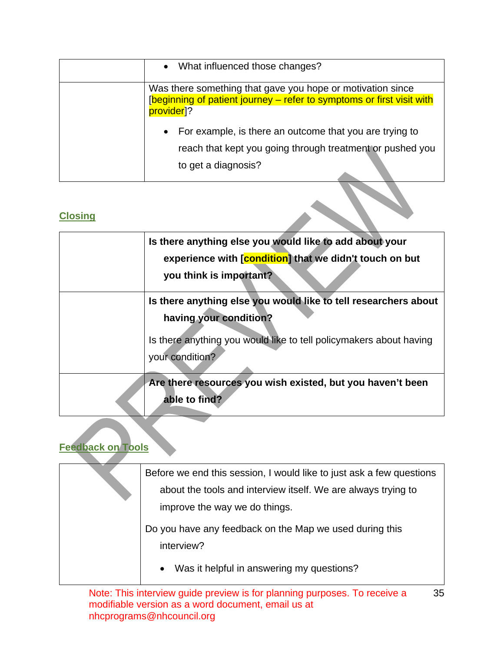| • What influenced those changes?                                                                                                                               |
|----------------------------------------------------------------------------------------------------------------------------------------------------------------|
| Was there something that gave you hope or motivation since<br>[beginning of patient journey – refer to symptoms or first visit with<br>provider <sup>1</sup> ? |
| For example, is there an outcome that you are trying to<br>$\bullet$<br>reach that kept you going through treatment or pushed you<br>to get a diagnosis?       |

## <span id="page-34-0"></span>**Closing**

| Is there anything else you would like to add about your<br>experience with [condition] that we didn't touch on but<br>you think is important?                                      |
|------------------------------------------------------------------------------------------------------------------------------------------------------------------------------------|
| Is there anything else you would like to tell researchers about<br>having your condition?<br>Is there anything you would like to tell policymakers about having<br>your condition? |
| Are there resources you wish existed, but you haven't been<br>able to find?                                                                                                        |

# <span id="page-34-1"></span>**Feedback on Tools**

| Before we end this session, I would like to just ask a few questions |
|----------------------------------------------------------------------|
| about the tools and interview itself. We are always trying to        |
| improve the way we do things.                                        |
|                                                                      |
| Do you have any feedback on the Map we used during this              |
| interview?                                                           |
| Was it helpful in answering my questions?<br>$\bullet$               |